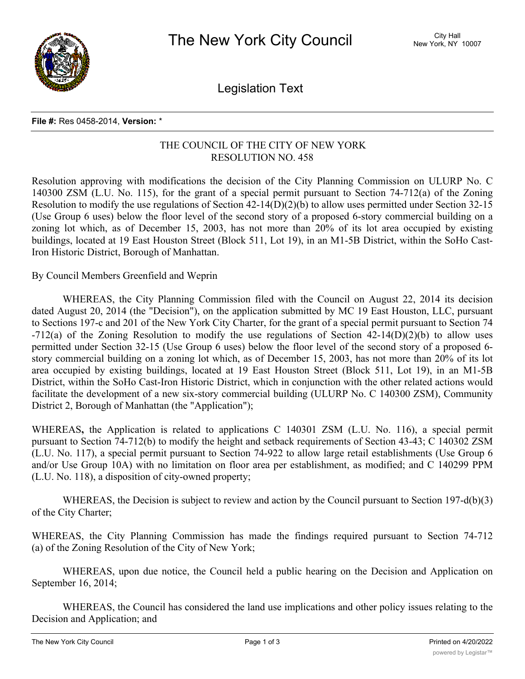

Legislation Text

## **File #:** Res 0458-2014, **Version:** \*

## THE COUNCIL OF THE CITY OF NEW YORK RESOLUTION NO. 458

Resolution approving with modifications the decision of the City Planning Commission on ULURP No. C 140300 ZSM (L.U. No. 115), for the grant of a special permit pursuant to Section 74-712(a) of the Zoning Resolution to modify the use regulations of Section 42-14(D)(2)(b) to allow uses permitted under Section 32-15 (Use Group 6 uses) below the floor level of the second story of a proposed 6-story commercial building on a zoning lot which, as of December 15, 2003, has not more than 20% of its lot area occupied by existing buildings, located at 19 East Houston Street (Block 511, Lot 19), in an M1-5B District, within the SoHo Cast-Iron Historic District, Borough of Manhattan.

By Council Members Greenfield and Weprin

WHEREAS, the City Planning Commission filed with the Council on August 22, 2014 its decision dated August 20, 2014 (the "Decision"), on the application submitted by MC 19 East Houston, LLC, pursuant to Sections 197-c and 201 of the New York City Charter, for the grant of a special permit pursuant to Section 74 -712(a) of the Zoning Resolution to modify the use regulations of Section 42-14(D)(2)(b) to allow uses permitted under Section 32-15 (Use Group 6 uses) below the floor level of the second story of a proposed 6 story commercial building on a zoning lot which, as of December 15, 2003, has not more than 20% of its lot area occupied by existing buildings, located at 19 East Houston Street (Block 511, Lot 19), in an M1-5B District, within the SoHo Cast-Iron Historic District, which in conjunction with the other related actions would facilitate the development of a new six-story commercial building (ULURP No. C 140300 ZSM), Community District 2, Borough of Manhattan (the "Application");

WHEREAS**,** the Application is related to applications C 140301 ZSM (L.U. No. 116), a special permit pursuant to Section 74-712(b) to modify the height and setback requirements of Section 43-43; C 140302 ZSM (L.U. No. 117), a special permit pursuant to Section 74-922 to allow large retail establishments (Use Group 6 and/or Use Group 10A) with no limitation on floor area per establishment, as modified; and C 140299 PPM (L.U. No. 118), a disposition of city-owned property;

WHEREAS, the Decision is subject to review and action by the Council pursuant to Section 197-d(b)(3) of the City Charter;

WHEREAS, the City Planning Commission has made the findings required pursuant to Section 74-712 (a) of the Zoning Resolution of the City of New York;

WHEREAS, upon due notice, the Council held a public hearing on the Decision and Application on September 16, 2014;

WHEREAS, the Council has considered the land use implications and other policy issues relating to the Decision and Application; and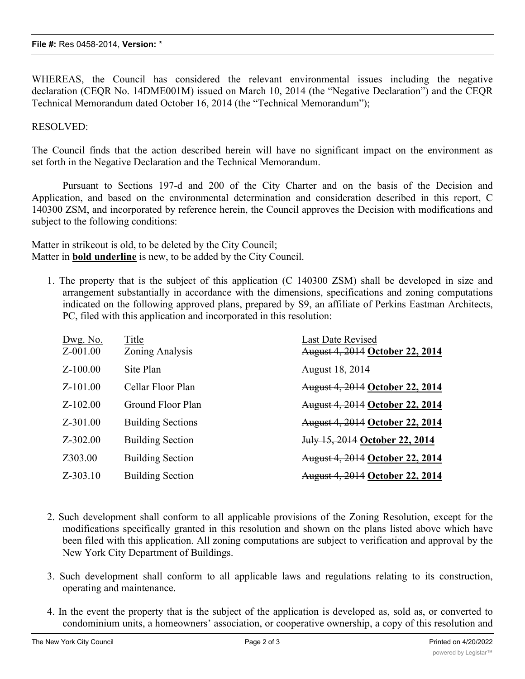WHEREAS, the Council has considered the relevant environmental issues including the negative declaration (CEQR No. 14DME001M) issued on March 10, 2014 (the "Negative Declaration") and the CEQR Technical Memorandum dated October 16, 2014 (the "Technical Memorandum");

## RESOLVED:

The Council finds that the action described herein will have no significant impact on the environment as set forth in the Negative Declaration and the Technical Memorandum.

Pursuant to Sections 197-d and 200 of the City Charter and on the basis of the Decision and Application, and based on the environmental determination and consideration described in this report, C 140300 ZSM, and incorporated by reference herein, the Council approves the Decision with modifications and subject to the following conditions:

Matter in strikeout is old, to be deleted by the City Council; Matter in **bold underline** is new, to be added by the City Council.

1. The property that is the subject of this application (C 140300 ZSM) shall be developed in size and arrangement substantially in accordance with the dimensions, specifications and zoning computations indicated on the following approved plans, prepared by S9, an affiliate of Perkins Eastman Architects, PC, filed with this application and incorporated in this resolution:

| Dwg. No.<br>Z-001.00 | Title<br>Zoning Analysis | <b>Last Date Revised</b><br><b>August 4, 2014 October 22, 2014</b> |
|----------------------|--------------------------|--------------------------------------------------------------------|
| $Z-100.00$           | Site Plan                | August 18, 2014                                                    |
| $Z-101.00$           | Cellar Floor Plan        | <b>August 4, 2014 October 22, 2014</b>                             |
| $Z - 102.00$         | Ground Floor Plan        | <b>August 4, 2014 October 22, 2014</b>                             |
| $Z - 301.00$         | <b>Building Sections</b> | <b>August 4, 2014 October 22, 2014</b>                             |
| $Z - 302.00$         | <b>Building Section</b>  | July 15, 2014 October 22, 2014                                     |
| Z303.00              | <b>Building Section</b>  | <b>August 4, 2014 October 22, 2014</b>                             |
| $Z - 303.10$         | <b>Building Section</b>  | <b>August 4, 2014 October 22, 2014</b>                             |

- 2. Such development shall conform to all applicable provisions of the Zoning Resolution, except for the modifications specifically granted in this resolution and shown on the plans listed above which have been filed with this application. All zoning computations are subject to verification and approval by the New York City Department of Buildings.
- 3. Such development shall conform to all applicable laws and regulations relating to its construction, operating and maintenance.
- 4. In the event the property that is the subject of the application is developed as, sold as, or converted to condominium units, a homeowners' association, or cooperative ownership, a copy of this resolution and